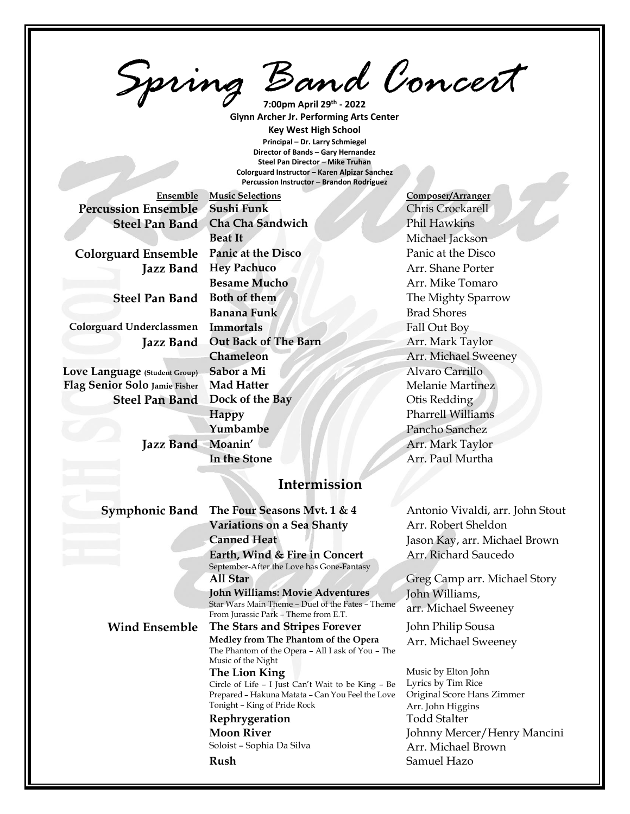*Spring Band Concert* **7:00pm April 29th - 2022**

**Glynn Archer Jr. Performing Arts Center Key West High School Principal – Dr. Larry Schmiegel Director of Bands – Gary Hernandez Steel Pan Director – Mike Truhan Colorguard Instructor – Karen Alpizar Sanchez Percussion Instructor – Brandon Rodriguez**

**Percussion Ensemble** Sushi Funk<br>
Chris Crockarell

**Colorguard Underclassmen Immortals** Fall Out Boy

**Love Language (Student Group) Sabor a Mi** Alvaro Carrillo **Flag Senior Solo Jamie Fisher Mad Hatter** Manual Melanie Martinez

# **Ensemble Music Selections Composer/Arranger Steel Pan Band** Cha Cha Sandwich Phil Hawkins **Beat It Michael Jackson Colorguard Ensemble Panic at the Disco** Panic at the Disco **Jazz Band Hey Pachuco Arr.** Shane Porter **Besame Mucho Arr.** Mike Tomaro **Steel Pan Band Both of them** The Mighty Sparrow **Banana Funk** Brad Shores **Jazz Band** Out Back of The Barn Arr. Mark Taylor **Chameleon** Arr. Michael Sweeney **Steel Pan Band Dock of the Bay Otis Redding Happy** Pharrell Williams **Yumbambe** Pancho Sanchez Jazz Band Moanin' Arr. Mark Taylor **In the Stone Arr.** Paul Murtha

### **Intermission**

**Symphonic Band** The Four Seasons Mvt. 1 & 4 Antonio Vivaldi, arr. John Stout **Variations on a Sea Shanty Marret Sheldon Canned Heat** Jason Kay, arr. Michael Brown **Earth, Wind & Fire in Concert** September-After the Love has Gone-Fantasy **All Star** Greg Camp arr. Michael Story **John Williams: Movie Adventures**  Star Wars Main Theme – Duel of the Fates – Theme From Jurassic Park – Theme from E.T. **Wind Ensemble The Stars and Stripes Forever** John Philip Sousa **Medley from The Phantom of the Opera** The Phantom of the Opera – All I ask of You – The Music of the Night **The Lion King** Circle of Life – I Just Can't Wait to be King – Be Prepared – Hakuna Matata – Can You Feel the Love Tonight – King of Pride Rock **Rephrygeration** Todd Stalter **Moon River** Soloist – Sophia Da Silva **Rush** Samuel Hazo

Arr. Richard Saucedo

John Williams, arr. Michael Sweeney

Arr. Michael Sweeney

Music by Elton John Lyrics by Tim Rice Original Score Hans Zimmer Arr. John Higgins Johnny Mercer/Henry Mancini Arr. Michael Brown